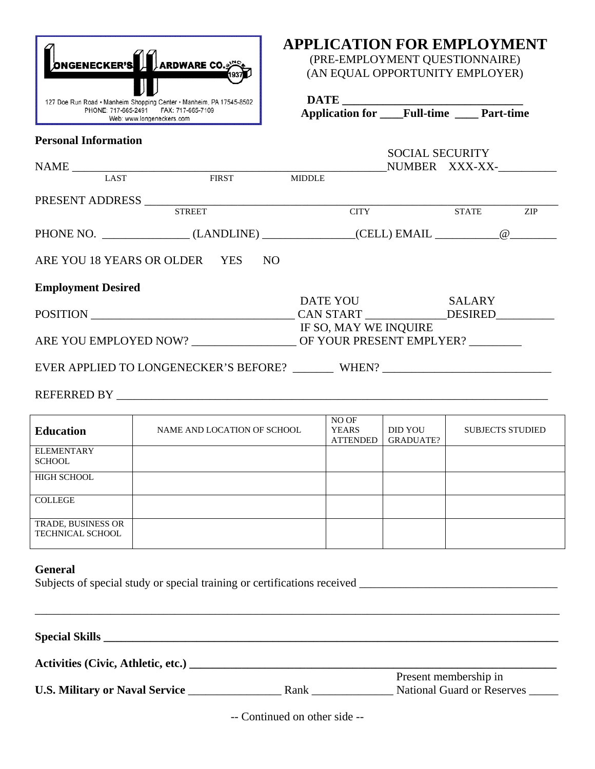

**Personal Information** 

## **APPLICATION FOR EMPLOYMENT**

(PRE-EMPLOYMENT QUESTIONNAIRE) (AN EQUAL OPPORTUNITY EMPLOYER)

**DATE \_\_\_\_\_\_\_\_\_\_\_\_\_\_\_\_\_\_\_\_\_\_\_\_\_\_\_\_\_\_\_** 

| <b>Application for</b> | <b>Full-time</b> | <b>Part-time</b> |
|------------------------|------------------|------------------|
|------------------------|------------------|------------------|

# SOCIAL SECURITY  $\begin{tabular}{lcccccc} \bf{NAME} & \textbf{0.133} & \textbf{0.144} & \textbf{0.154} & \textbf{0.174} & \textbf{0.174} & \textbf{0.174} & \textbf{0.174} & \textbf{0.174} & \textbf{0.174} & \textbf{0.174} & \textbf{0.174} & \textbf{0.174} & \textbf{0.174} & \textbf{0.174} & \textbf{0.174} & \textbf{0.174} & \textbf{0.174} & \textbf{0.174} & \textbf{0.1$ **LAST FIRST** PRESENT ADDRESS \_\_\_\_\_\_\_\_\_\_\_\_\_\_\_\_\_\_\_\_\_\_\_\_\_\_\_\_\_\_\_\_\_\_\_\_\_\_\_\_\_\_\_\_\_\_\_\_\_\_\_\_\_\_\_\_\_\_\_\_\_\_\_\_\_\_\_\_\_\_\_ STATE PHONE NO. \_\_\_\_\_\_\_\_\_\_\_\_\_\_\_ (LANDLINE) \_\_\_\_\_\_\_\_\_\_\_\_\_\_\_\_(CELL) EMAIL \_\_\_\_\_\_\_\_\_\_\_@\_\_\_\_\_\_\_\_ ARE YOU 18 YEARS OR OLDER YES NO **Employment Desired** DATE YOU SALARY POSITION \_\_\_\_\_\_\_\_\_\_\_\_\_\_\_\_\_\_\_\_\_\_\_\_\_\_\_\_\_\_\_\_\_\_\_ CAN START \_\_\_\_\_\_\_\_\_\_\_\_\_\_DESIRED\_\_\_\_\_\_\_\_\_\_ IF SO, MAY WE INQUIRE ARE YOU EMPLOYED NOW? \_\_\_\_\_\_\_\_\_\_\_\_\_\_\_\_\_\_ OF YOUR PRESENT EMPLYER? \_\_\_\_\_\_\_\_\_ EVER APPLIED TO LONGENECKER'S BEFORE? WHEN? WHEN PURSE APPLIED TO LONGENECKER'S BEFORE? REFERRED BY THE RESERVE OF STRAIN  $\mathbf{P}$

| <b>Education</b>                              | NAME AND LOCATION OF SCHOOL | NO OF<br><b>YEARS</b><br><b>ATTENDED</b> | DID YOU<br>GRADUATE? | <b>SUBJECTS STUDIED</b> |
|-----------------------------------------------|-----------------------------|------------------------------------------|----------------------|-------------------------|
| <b>ELEMENTARY</b><br><b>SCHOOL</b>            |                             |                                          |                      |                         |
| <b>HIGH SCHOOL</b>                            |                             |                                          |                      |                         |
| <b>COLLEGE</b>                                |                             |                                          |                      |                         |
| TRADE, BUSINESS OR<br><b>TECHNICAL SCHOOL</b> |                             |                                          |                      |                         |

#### **General**

|  |  | Subjects of special study or special training or certifications received |  |
|--|--|--------------------------------------------------------------------------|--|
|  |  |                                                                          |  |

| Activities (Civic, Athletic, etc.) |      |                                   |
|------------------------------------|------|-----------------------------------|
|                                    |      | Present membership in             |
| U.S. Military or Naval Service     | Rank | <b>National Guard or Reserves</b> |

-- Continued on other side --